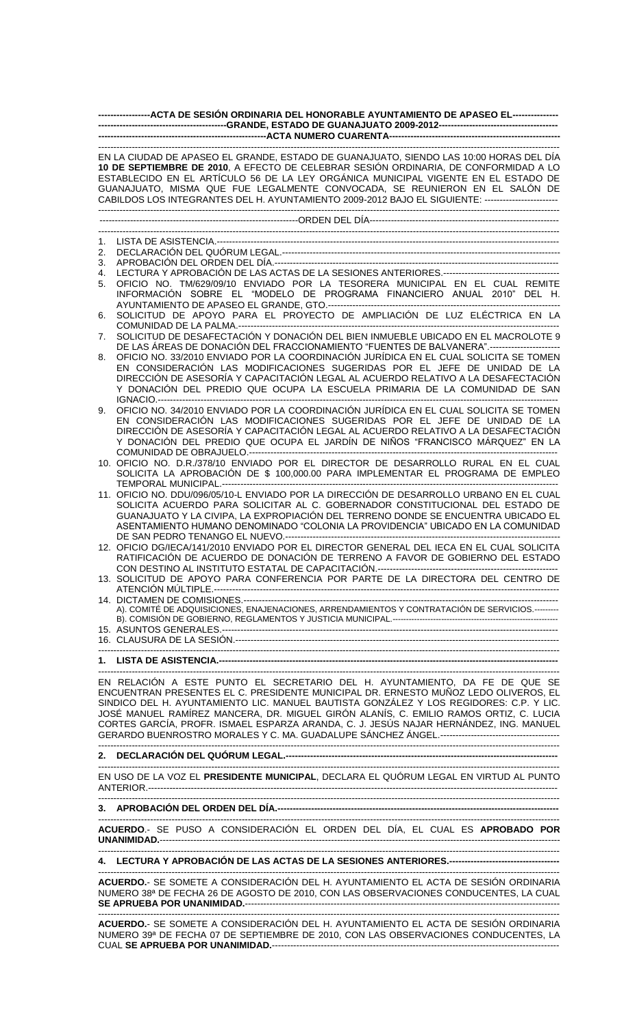| -----------------ACTA DE SESIÓN ORDINARIA DEL HONORABLE AYUNTAMIENTO DE APASEO EL---------------                                                                                                                                                                                                                                                                                                                                                          |                                                                                                                                                                                                                                                                                                                                                  |
|-----------------------------------------------------------------------------------------------------------------------------------------------------------------------------------------------------------------------------------------------------------------------------------------------------------------------------------------------------------------------------------------------------------------------------------------------------------|--------------------------------------------------------------------------------------------------------------------------------------------------------------------------------------------------------------------------------------------------------------------------------------------------------------------------------------------------|
|                                                                                                                                                                                                                                                                                                                                                                                                                                                           |                                                                                                                                                                                                                                                                                                                                                  |
| EN LA CIUDAD DE APASEO EL GRANDE, ESTADO DE GUANAJUATO, SIENDO LAS 10:00 HORAS DEL DÍA<br>10 DE SEPTIEMBRE DE 2010, A EFECTO DE CELEBRAR SESIÓN ORDINARIA, DE CONFORMIDAD A LO<br>ESTABLECIDO EN EL ARTÍCULO 56 DE LA LEY ORGÁNICA MUNICIPAL VIGENTE EN EL ESTADO DE<br>GUANAJUATO, MISMA QUE FUE LEGALMENTE CONVOCADA, SE REUNIERON EN EL SALÓN DE<br>CABILDOS LOS INTEGRANTES DEL H. AYUNTAMIENTO 2009-2012 BAJO EL SIGUIENTE: ------------------------ |                                                                                                                                                                                                                                                                                                                                                  |
|                                                                                                                                                                                                                                                                                                                                                                                                                                                           |                                                                                                                                                                                                                                                                                                                                                  |
|                                                                                                                                                                                                                                                                                                                                                                                                                                                           |                                                                                                                                                                                                                                                                                                                                                  |
| 1.                                                                                                                                                                                                                                                                                                                                                                                                                                                        |                                                                                                                                                                                                                                                                                                                                                  |
| 2.<br>3.                                                                                                                                                                                                                                                                                                                                                                                                                                                  |                                                                                                                                                                                                                                                                                                                                                  |
| 4.                                                                                                                                                                                                                                                                                                                                                                                                                                                        |                                                                                                                                                                                                                                                                                                                                                  |
| 5.                                                                                                                                                                                                                                                                                                                                                                                                                                                        | OFICIO NO. TM/629/09/10 ENVIADO POR LA TESORERA MUNICIPAL EN EL CUAL REMITE<br>INFORMACIÓN SOBRE EL "MODELO DE PROGRAMA FINANCIERO ANUAL 2010" DEL H.                                                                                                                                                                                            |
| 6.                                                                                                                                                                                                                                                                                                                                                                                                                                                        | SOLICITUD DE APOYO PARA EL PROYECTO DE AMPLIACIÓN DE LUZ ELÉCTRICA EN LA                                                                                                                                                                                                                                                                         |
| 7.                                                                                                                                                                                                                                                                                                                                                                                                                                                        | SOLICITUD DE DESAFECTACIÓN Y DONACIÓN DEL BIEN INMUEBLE UBICADO EN EL MACROLOTE 9<br>DE LAS ÁREAS DE DONACIÓN DEL FRACCIONAMIENTO "FUENTES DE BALVANERA".----------------------                                                                                                                                                                  |
| 8.                                                                                                                                                                                                                                                                                                                                                                                                                                                        | OFICIO NO. 33/2010 ENVIADO POR LA COORDINACIÓN JURÍDICA EN EL CUAL SOLICITA SE TOMEN<br>EN CONSIDERACIÓN LAS MODIFICACIONES SUGERIDAS POR EL JEFE DE UNIDAD DE LA<br>DIRECCIÓN DE ASESORÍA Y CAPACITACIÓN LEGAL AL ACUERDO RELATIVO A LA DESAFECTACIÓN<br>Y DONACIÓN DEL PREDIO QUE OCUPA LA ESCUELA PRIMARIA DE LA COMUNIDAD DE SAN             |
| 9.                                                                                                                                                                                                                                                                                                                                                                                                                                                        | OFICIO NO. 34/2010 ENVIADO POR LA COORDINACIÓN JURÍDICA EN EL CUAL SOLICITA SE TOMEN<br>EN CONSIDERACIÓN LAS MODIFICACIONES SUGERIDAS POR EL JEFE DE UNIDAD DE LA<br>DIRECCIÓN DE ASESORÍA Y CAPACITACIÓN LEGAL AL ACUERDO RELATIVO A LA DESAFECTACIÓN<br>Y DONACIÓN DEL PREDIO QUE OCUPA EL JARDÍN DE NIÑOS "FRANCISCO MÁRQUEZ" EN LA           |
|                                                                                                                                                                                                                                                                                                                                                                                                                                                           | 10. OFICIO NO. D.R./378/10 ENVIADO POR EL DIRECTOR DE DESARROLLO RURAL EN EL CUAL<br>SOLICITA LA APROBACIÓN DE \$ 100,000.00 PARA IMPLEMENTAR EL PROGRAMA DE EMPLEO                                                                                                                                                                              |
|                                                                                                                                                                                                                                                                                                                                                                                                                                                           | 11. OFICIO NO. DDU/096/05/10-L ENVIADO POR LA DIRECCIÓN DE DESARROLLO URBANO EN EL CUAL<br>SOLICITA ACUERDO PARA SOLICITAR AL C. GOBERNADOR CONSTITUCIONAL DEL ESTADO DE<br>GUANAJUATO Y LA CIVIPA, LA EXPROPIACIÓN DEL TERRENO DONDE SE ENCUENTRA UBICADO EL<br>ASENTAMIENTO HUMANO DENOMINADO "COLONIA LA PROVIDENCIA" UBICADO EN LA COMUNIDAD |
|                                                                                                                                                                                                                                                                                                                                                                                                                                                           | 12. OFICIO DG/IECA/141/2010 ENVIADO POR EL DIRECTOR GENERAL DEL IECA EN EL CUAL SOLICITA<br>RATIFICACIÓN DE ACUERDO DE DONACIÓN DE TERRENO A FAVOR DE GOBIERNO DEL ESTADO                                                                                                                                                                        |
|                                                                                                                                                                                                                                                                                                                                                                                                                                                           | 13. SOLICITUD DE APOYO PARA CONFERENCIA POR PARTE DE LA DIRECTORA DEL CENTRO DE                                                                                                                                                                                                                                                                  |
|                                                                                                                                                                                                                                                                                                                                                                                                                                                           | A). COMITÉ DE ADQUISICIONES, ENAJENACIONES, ARRENDAMIENTOS Y CONTRATACIÓN DE SERVICIOS.---------                                                                                                                                                                                                                                                 |
|                                                                                                                                                                                                                                                                                                                                                                                                                                                           |                                                                                                                                                                                                                                                                                                                                                  |
|                                                                                                                                                                                                                                                                                                                                                                                                                                                           |                                                                                                                                                                                                                                                                                                                                                  |
| EN RELACIÓN A ESTE PUNTO EL SECRETARIO DEL H. AYUNTAMIENTO, DA FE DE QUE SE<br>ENCUENTRAN PRESENTES EL C. PRESIDENTE MUNICIPAL DR. ERNESTO MUÑOZ LEDO OLIVEROS, EL<br>SINDICO DEL H. AYUNTAMIENTO LIC. MANUEL BAUTISTA GONZÁLEZ Y LOS REGIDORES: C.P. Y LIC.<br>JOSÉ MANUEL RAMÍREZ MANCERA, DR. MIGUEL GIRÓN ALANÍS, C. EMILIO RAMOS ORTIZ, C. LUCIA<br>CORTES GARCÍA, PROFR. ISMAEL ESPARZA ARANDA, C. J. JESÚS NAJAR HERNÁNDEZ, ING. MANUEL            |                                                                                                                                                                                                                                                                                                                                                  |
|                                                                                                                                                                                                                                                                                                                                                                                                                                                           |                                                                                                                                                                                                                                                                                                                                                  |
|                                                                                                                                                                                                                                                                                                                                                                                                                                                           | EN USO DE LA VOZ EL PRESIDENTE MUNICIPAL, DECLARA EL QUÓRUM LEGAL EN VIRTUD AL PUNTO                                                                                                                                                                                                                                                             |
|                                                                                                                                                                                                                                                                                                                                                                                                                                                           |                                                                                                                                                                                                                                                                                                                                                  |
| ACUERDO.- SE PUSO A CONSIDERACIÓN EL ORDEN DEL DÍA, EL CUAL ES APROBADO POR                                                                                                                                                                                                                                                                                                                                                                               |                                                                                                                                                                                                                                                                                                                                                  |
|                                                                                                                                                                                                                                                                                                                                                                                                                                                           |                                                                                                                                                                                                                                                                                                                                                  |
|                                                                                                                                                                                                                                                                                                                                                                                                                                                           |                                                                                                                                                                                                                                                                                                                                                  |
| ACUERDO.- SE SOMETE A CONSIDERACIÓN DEL H. AYUNTAMIENTO EL ACTA DE SESIÓN ORDINARIA<br>NUMERO 38ª DE FECHA 26 DE AGOSTO DE 2010, CON LAS OBSERVACIONES CONDUCENTES, LA CUAL                                                                                                                                                                                                                                                                               |                                                                                                                                                                                                                                                                                                                                                  |

------------------------------------------------------------------------------------------------------------------------------------------------------- **ACUERDO.**- SE SOMETE A CONSIDERACIÓN DEL H. AYUNTAMIENTO EL ACTA DE SESIÓN ORDINARIA NUMERO 39ª DE FECHA 07 DE SEPTIEMBRE DE 2010, CON LAS OBSERVACIONES CONDUCENTES, LA CUAL **SE APRUEBA POR UNANIMIDAD.**----------------------------------------------------------------------------------------------

**SE APRUEBA POR UNANIMIDAD.**-------------------------------------------------------------------------------------------------------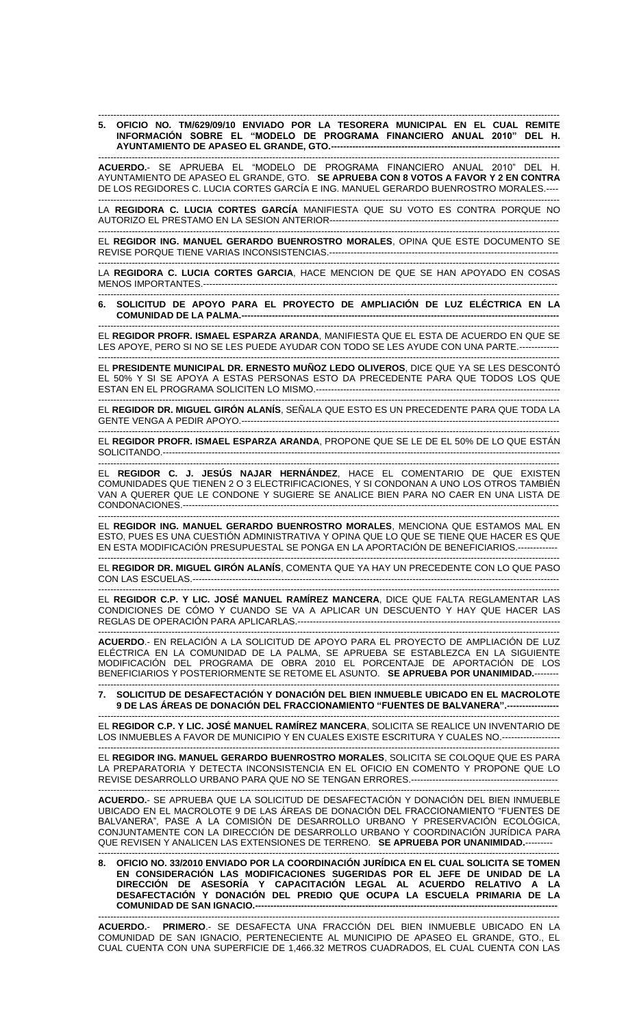## ------------------------------------------------------------------------------------------------------------------------------------------------------- **5. OFICIO NO. TM/629/09/10 ENVIADO POR LA TESORERA MUNICIPAL EN EL CUAL REMITE INFORMACIÓN SOBRE EL "MODELO DE PROGRAMA FINANCIERO ANUAL 2010" DEL H. AYUNTAMIENTO DE APASEO EL GRANDE, GTO.---**

------------------------------------------------------------------------------------------------------------------------------------------------------- **ACUERDO.**- SE APRUEBA EL "MODELO DE PROGRAMA FINANCIERO ANUAL 2010" DEL H. AYUNTAMIENTO DE APASEO EL GRANDE, GTO. **SE APRUEBA CON 8 VOTOS A FAVOR Y 2 EN CONTRA** DE LOS REGIDORES C. LUCIA CORTES GARCÍA E ING. MANUEL GERARDO BUENROSTRO MORALES.----

------------------------------------------------------------------------------------------------------------------------------------------------------- LA **REGIDORA C. LUCIA CORTES GARCÍA** MANIFIESTA QUE SU VOTO ES CONTRA PORQUE NO AUTORIZO EL PRESTAMO EN LA SESION ANTERIOR---------------------------------------------------------------------------

------------------------------------------------------------------------------------------------------------------------------------------------------- EL **REGIDOR ING. MANUEL GERARDO BUENROSTRO MORALES**, OPINA QUE ESTE DOCUMENTO SE REVISE PORQUE TIENE VARIAS INCONSISTENCIAS.---------------------------------------------------------------------------

------------------------------------------------------------------------------------------------------------------------------------------------------- LA **REGIDORA C. LUCIA CORTES GARCIA**, HACE MENCION DE QUE SE HAN APOYADO EN COSAS MENOS IMPORTANTES.----------------

------------------------------------------------------------------------------------------------------------------------------------------------------- **6. SOLICITUD DE APOYO PARA EL PROYECTO DE AMPLIACIÓN DE LUZ ELÉCTRICA EN LA COMUNIDAD DE LA PALMA.--------------------------------------------------------------------------------------------------------**

------------------------------------------------------------------------------------------------------------------------------------------------------- EL **REGIDOR PROFR. ISMAEL ESPARZA ARANDA**, MANIFIESTA QUE EL ESTA DE ACUERDO EN QUE SE LES APOYE, PERO SI NO SE LES PUEDE AYUDAR CON TODO SE LES AYUDE CON UNA PARTE.-------------

------------------------------------------------------------------------------------------------------------------------------------------------------- EL **PRESIDENTE MUNICIPAL DR. ERNESTO MUÑOZ LEDO OLIVEROS**, DICE QUE YA SE LES DESCONTÓ EL 50% Y SI SE APOYA A ESTAS PERSONAS ESTO DA PRECEDENTE PARA QUE TODOS LOS QUE ESTAN EN EL PROGRAMA SOLICITEN LO MISMO.------

------------------------------------------------------------------------------------------------------------------------------------------------------- EL **REGIDOR DR. MIGUEL GIRÓN ALANÍS**, SEÑALA QUE ESTO ES UN PRECEDENTE PARA QUE TODA LA GENTE VENGA A PEDIR APOYO.--------------------------------------------------------------------------------------------------------

------------------------------------------------------------------------------------------------------------------------------------------------------- EL **REGIDOR PROFR. ISMAEL ESPARZA ARANDA**, PROPONE QUE SE LE DE EL 50% DE LO QUE ESTÁN SOLICITANDO.----------------------------------------------------------------------------------------------------------------------------------

------------------------------------------------------------------------------------------------------------------------------------------------------- EL **REGIDOR C. J. JESÚS NAJAR HERNÁNDEZ**, HACE EL COMENTARIO DE QUE EXISTEN COMUNIDADES QUE TIENEN 2 O 3 ELECTRIFICACIONES, Y SI CONDONAN A UNO LOS OTROS TAMBIÉN VAN A QUERER QUE LE CONDONE Y SUGIERE SE ANALICE BIEN PARA NO CAER EN UNA LISTA DE CONDONACIONES.---------------------------------------------------------------------------------------------------------------------------

------------------------------------------------------------------------------------------------------------------------------------------------------- EL **REGIDOR ING. MANUEL GERARDO BUENROSTRO MORALES**, MENCIONA QUE ESTAMOS MAL EN ESTO, PUES ES UNA CUESTIÓN ADMINISTRATIVA Y OPINA QUE LO QUE SE TIENE QUE HACER ES QUE EN ESTA MODIFICACIÓN PRESUPUESTAL SE PONGA EN LA APORTACIÓN DE BENEFICIARIOS.-------------

------------------------------------------------------------------------------------------------------------------------------------------------------- EL **REGIDOR DR. MIGUEL GIRÓN ALANÍS**, COMENTA QUE YA HAY UN PRECEDENTE CON LO QUE PASO CON LAS ESCUELAS.------------------------------------------------------------------------------------------------------------------------

------------------------------------------------------------------------------------------------------------------------------------------------------- EL **REGIDOR C.P. Y LIC. JOSÉ MANUEL RAMÍREZ MANCERA**, DICE QUE FALTA REGLAMENTAR LAS CONDICIONES DE CÓMO Y CUANDO SE VA A APLICAR UN DESCUENTO Y HAY QUE HACER LAS REGLAS DE OPERACIÓN PARA APLICARLAS.--------------------------------------------------------------------------------------

------------------------------------------------------------------------------------------------------------------------------------------------------- **ACUERDO**.- EN RELACIÓN A LA SOLICITUD DE APOYO PARA EL PROYECTO DE AMPLIACIÓN DE LUZ ELÉCTRICA EN LA COMUNIDAD DE LA PALMA, SE APRUEBA SE ESTABLEZCA EN LA SIGUIENTE MODIFICACIÓN DEL PROGRAMA DE OBRA 2010 EL PORCENTAJE DE APORTACIÓN DE LOS BENEFICIARIOS Y POSTERIORMENTE SE RETOME EL ASUNTO. **SE APRUEBA POR UNANIMIDAD.**--------

------------------------------------------------------------------------------------------------------------------------------------------------------- **7. SOLICITUD DE DESAFECTACIÓN Y DONACIÓN DEL BIEN INMUEBLE UBICADO EN EL MACROLOTE 9 DE LAS ÁREAS DE DONACIÓN DEL FRACCIONAMIENTO "FUENTES DE BALVANERA".-----------------**

------------------------------------------------------------------------------------------------------------------------------------------------------- EL **REGIDOR C.P. Y LIC. JOSÉ MANUEL RAMÍREZ MANCERA**, SOLICITA SE REALICE UN INVENTARIO DE LOS INMUEBLES A FAVOR DE MUNICIPIO Y EN CUALES EXISTE ESCRITURA Y CUALES NO.-------------------

------------------------------------------------------------------------------------------------------------------------------------------------------- EL **REGIDOR ING. MANUEL GERARDO BUENROSTRO MORALES**, SOLICITA SE COLOQUE QUE ES PARA LA PREPARATORIA Y DETECTA INCONSISTENCIA EN EL OFICIO EN COMENTO Y PROPONE QUE LO REVISE DESARROLLO URBANO PARA QUE NO SE TENGAN ERRORES.------------------------------------------------

------------------------------------------------------------------------------------------------------------------------------------------------------- **ACUERDO.**- SE APRUEBA QUE LA SOLICITUD DE DESAFECTACIÓN Y DONACIÓN DEL BIEN INMUEBLE UBICADO EN EL MACROLOTE 9 DE LAS ÁREAS DE DONACIÓN DEL FRACCIONAMIENTO "FUENTES DE BALVANERA", PASE A LA COMISIÓN DE DESARROLLO URBANO Y PRESERVACIÓN ECOLÓGICA, CONJUNTAMENTE CON LA DIRECCIÓN DE DESARROLLO URBANO Y COORDINACIÓN JURÍDICA PARA QUE REVISEN Y ANALICEN LAS EXTENSIONES DE TERRENO. SE APRUEBA POR UNANIMIDAD.--

------------------------------------------------------------------------------------------------------------------------------------------------------- **8. OFICIO NO. 33/2010 ENVIADO POR LA COORDINACIÓN JURÍDICA EN EL CUAL SOLICITA SE TOMEN EN CONSIDERACIÓN LAS MODIFICACIONES SUGERIDAS POR EL JEFE DE UNIDAD DE LA DIRECCIÓN DE ASESORÍA Y CAPACITACIÓN LEGAL AL ACUERDO RELATIVO A LA DESAFECTACIÓN Y DONACIÓN DEL PREDIO QUE OCUPA LA ESCUELA PRIMARIA DE LA COMUNIDAD DE SAN IGNACIO.--**

------------------------------------------------------------------------------------------------------------------------------------------------------- **ACUERDO.**- **PRIMERO**.- SE DESAFECTA UNA FRACCIÓN DEL BIEN INMUEBLE UBICADO EN LA COMUNIDAD DE SAN IGNACIO, PERTENECIENTE AL MUNICIPIO DE APASEO EL GRANDE, GTO., EL CUAL CUENTA CON UNA SUPERFICIE DE 1,466.32 METROS CUADRADOS, EL CUAL CUENTA CON LAS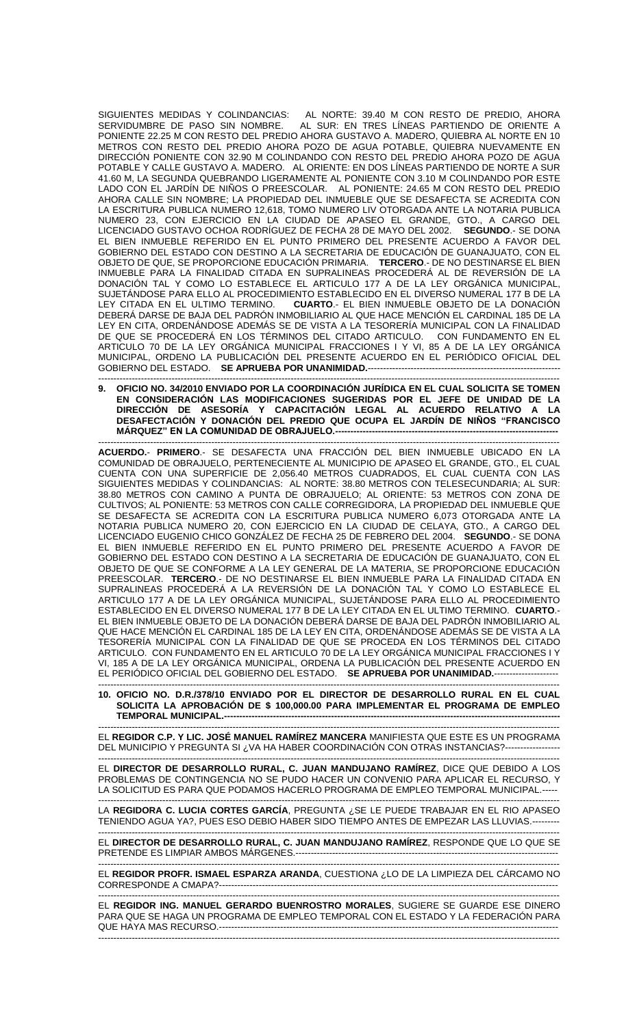SIGUIENTES MEDIDAS Y COLINDANCIAS: AL NORTE: 39.40 M CON RESTO DE PREDIO, AHORA<br>SERVIDUMBRE DE PASO SIN NOMBRE. AL SUR: EN TRES LÍNEAS PARTIENDO DE ORIENTE A AL SUR: EN TRES LÍNEAS PARTIENDO DE ORIENTE A PONIENTE 22.25 M CON RESTO DEL PREDIO AHORA GUSTAVO A. MADERO, QUIEBRA AL NORTE EN 10 METROS CON RESTO DEL PREDIO AHORA POZO DE AGUA POTABLE, QUIEBRA NUEVAMENTE EN DIRECCIÓN PONIENTE CON 32.90 M COLINDANDO CON RESTO DEL PREDIO AHORA POZO DE AGUA POTABLE Y CALLE GUSTAVO A. MADERO. AL ORIENTE: EN DOS LÍNEAS PARTIENDO DE NORTE A SUR 41.60 M, LA SEGUNDA QUEBRANDO LIGERAMENTE AL PONIENTE CON 3.10 M COLINDANDO POR ESTE LADO CON EL JARDÍN DE NIÑOS O PREESCOLAR. AL PONIENTE: 24.65 M CON RESTO DEL PREDIO AHORA CALLE SIN NOMBRE; LA PROPIEDAD DEL INMUEBLE QUE SE DESAFECTA SE ACREDITA CON LA ESCRITURA PUBLICA NUMERO 12,618, TOMO NUMERO LIV OTORGADA ANTE LA NOTARIA PUBLICA NUMERO 23, CON EJERCICIO EN LA CIUDAD DE APASEO EL GRANDE, GTO., A CARGO DEL LICENCIADO GUSTAVO OCHOA RODRÍGUEZ DE FECHA 28 DE MAYO DEL 2002. **SEGUNDO**.- SE DONA EL BIEN INMUEBLE REFERIDO EN EL PUNTO PRIMERO DEL PRESENTE ACUERDO A FAVOR DEL GOBIERNO DEL ESTADO CON DESTINO A LA SECRETARIA DE EDUCACIÓN DE GUANAJUATO, CON EL OBJETO DE QUE, SE PROPORCIONE EDUCACIÓN PRIMARIA. **TERCERO**.- DE NO DESTINARSE EL BIEN INMUEBLE PARA LA FINALIDAD CITADA EN SUPRALINEAS PROCEDERÁ AL DE REVERSIÓN DE LA DONACIÓN TAL Y COMO LO ESTABLECE EL ARTICULO 177 A DE LA LEY ORGÁNICA MUNICIPAL, SUJETÁNDOSE PARA ELLO AL PROCEDIMIENTO ESTABLECIDO EN EL DIVERSO NUMERAL 177 B DE LA<br>LEY CITADA EN EL ULTIMO TERMINO. **CUARTO.**- EL BIEN INMUEBLE OBJETO DE LA DONACIÓN CUARTO.- EL BIEN INMUEBLE OBJETO DE LA DONACIÓN DEBERÁ DARSE DE BAJA DEL PADRÓN INMOBILIARIO AL QUE HACE MENCIÓN EL CARDINAL 185 DE LA LEY EN CITA, ORDENÁNDOSE ADEMÁS SE DE VISTA A LA TESORERÍA MUNICIPAL CON LA FINALIDAD DE QUE SE PROCEDERÁ EN LOS TÉRMINOS DEL CITADO ARTICULO. CON FUNDAMENTO EN EL ARTICULO 70 DE LA LEY ORGÁNICA MUNICIPAL FRACCIONES I Y VI, 85 A DE LA LEY ORGÁNICA MUNICIPAL, ORDENO LA PUBLICACIÓN DEL PRESENTE ACUERDO EN EL PERIÓDICO OFICIAL DEL GOBIERNO DEL ESTADO. SE APRUEBA POR UNANIMIDAD.---

------------------------------------------------------------------------------------------------------------------------------------------------------- **9. OFICIO NO. 34/2010 ENVIADO POR LA COORDINACIÓN JURÍDICA EN EL CUAL SOLICITA SE TOMEN EN CONSIDERACIÓN LAS MODIFICACIONES SUGERIDAS POR EL JEFE DE UNIDAD DE LA DIRECCIÓN DE ASESORÍA Y CAPACITACIÓN LEGAL AL ACUERDO RELATIVO A LA DESAFECTACIÓN Y DONACIÓN DEL PREDIO QUE OCUPA EL JARDÍN DE NIÑOS "FRANCISCO MÁRQUEZ" EN LA COMUNIDAD DE OBRAJUELO.-------------------------------------------------------------------------** -------------------------------------------------------------------------------------------------------------------------------------------------------

**ACUERDO.**- **PRIMERO**.- SE DESAFECTA UNA FRACCIÓN DEL BIEN INMUEBLE UBICADO EN LA COMUNIDAD DE OBRAJUELO, PERTENECIENTE AL MUNICIPIO DE APASEO EL GRANDE, GTO., EL CUAL CUENTA CON UNA SUPERFICIE DE 2,056.40 METROS CUADRADOS, EL CUAL CUENTA CON LAS SIGUIENTES MEDIDAS Y COLINDANCIAS: AL NORTE: 38.80 METROS CON TELESECUNDARIA; AL SUR: 38.80 METROS CON CAMINO A PUNTA DE OBRAJUELO; AL ORIENTE: 53 METROS CON ZONA DE CULTIVOS; AL PONIENTE: 53 METROS CON CALLE CORREGIDORA, LA PROPIEDAD DEL INMUEBLE QUE SE DESAFECTA SE ACREDITA CON LA ESCRITURA PUBLICA NUMERO 6,073 OTORGADA ANTE LA NOTARIA PUBLICA NUMERO 20, CON EJERCICIO EN LA CIUDAD DE CELAYA, GTO., A CARGO DEL LICENCIADO EUGENIO CHICO GONZÁLEZ DE FECHA 25 DE FEBRERO DEL 2004. **SEGUNDO**.- SE DONA EL BIEN INMUEBLE REFERIDO EN EL PUNTO PRIMERO DEL PRESENTE ACUERDO A FAVOR DE GOBIERNO DEL ESTADO CON DESTINO A LA SECRETARIA DE EDUCACIÓN DE GUANAJUATO, CON EL OBJETO DE QUE SE CONFORME A LA LEY GENERAL DE LA MATERIA, SE PROPORCIONE EDUCACIÓN PREESCOLAR. **TERCERO**.- DE NO DESTINARSE EL BIEN INMUEBLE PARA LA FINALIDAD CITADA EN SUPRALINEAS PROCEDERÁ A LA REVERSIÓN DE LA DONACIÓN TAL Y COMO LO ESTABLECE EL ARTICULO 177 A DE LA LEY ORGÁNICA MUNICIPAL, SUJETÁNDOSE PARA ELLO AL PROCEDIMIENTO ESTABLECIDO EN EL DIVERSO NUMERAL 177 B DE LA LEY CITADA EN EL ULTIMO TERMINO. **CUARTO**.- EL BIEN INMUEBLE OBJETO DE LA DONACIÓN DEBERÁ DARSE DE BAJA DEL PADRÓN INMOBILIARIO AL QUE HACE MENCION EL CARDINAL 185 DE LA LEY EN CITA, ORDENANDOSE ADEMÁS SE DE VISTA A LA TESORERÍA MUNICIPAL CON LA FINALIDAD DE QUE SE PROCEDA EN LOS TÉRMINOS DEL CITADO ARTICULO. CON FUNDAMENTO EN EL ARTICULO 70 DE LA LEY ORGÁNICA MUNICIPAL FRACCIONES I Y VI, 185 A DE LA LEY ORGÁNICA MUNICIPAL, ORDENA LA PUBLICACIÓN DEL PRESENTE ACUERDO EN EL PERIÓDICO OFICIAL DEL GOBIERNO DEL ESTADO. SE APRUEBA POR UNANIMIDAD.---

------------------------------------------------------------------------------------------------------------------------------------------------------- **10. OFICIO NO. D.R./378/10 ENVIADO POR EL DIRECTOR DE DESARROLLO RURAL EN EL CUAL SOLICITA LA APROBACIÓN DE \$ 100,000.00 PARA IMPLEMENTAR EL PROGRAMA DE EMPLEO TEMPORAL MUNICIPAL.--**

------------------------------------------------------------------------------------------------------------------------------------------------------- EL **REGIDOR C.P. Y LIC. JOSÉ MANUEL RAMÍREZ MANCERA** MANIFIESTA QUE ESTE ES UN PROGRAMA DEL MUNICIPIO Y PREGUNTA SI ¿VA HA HABER COORDINACIÓN CON OTRAS INSTANCIAS?-----------------

------------------------------------------------------------------------------------------------------------------------------------------------------- EL **DIRECTOR DE DESARROLLO RURAL, C. JUAN MANDUJANO RAMÍREZ**, DICE QUE DEBIDO A LOS PROBLEMAS DE CONTINGENCIA NO SE PUDO HACER UN CONVENIO PARA APLICAR EL RECURSO, Y LA SOLICITUD ES PARA QUE PODAMOS HACERLO PROGRAMA DE EMPLEO TEMPORAL MUNICIPAL.-----

------------------------------------------------------------------------------------------------------------------------------------------------------- LA **REGIDORA C. LUCIA CORTES GARCÍA**, PREGUNTA ¿SE LE PUEDE TRABAJAR EN EL RIO APASEO TENIENDO AGUA YA?, PUES ESO DEBIO HABER SIDO TIEMPO ANTES DE EMPEZAR LAS LLUVIAS.--------- -------------------------------------------------------------------------------------------------------------------------------------------------------

EL **DIRECTOR DE DESARROLLO RURAL, C. JUAN MANDUJANO RAMÍREZ**, RESPONDE QUE LO QUE SE PRETENDE ES LIMPIAR AMBOS MÁRGENES.---

------------------------------------------------------------------------------------------------------------------------------------------------------- EL **REGIDOR PROFR. ISMAEL ESPARZA ARANDA**, CUESTIONA ¿LO DE LA LIMPIEZA DEL CÁRCAMO NO CORRESPONDE A CMAPA?---------------------------------------------------------------------------------------------------------------

------------------------------------------------------------------------------------------------------------------------------------------------------- EL **REGIDOR ING. MANUEL GERARDO BUENROSTRO MORALES**, SUGIERE SE GUARDE ESE DINERO PARA QUE SE HAGA UN PROGRAMA DE EMPLEO TEMPORAL CON EL ESTADO Y LA FEDERACIÓN PARA QUE HAYA MAS RECURSO.--------------------------------------------------------------------------------------------------------------------------------------------------------------------------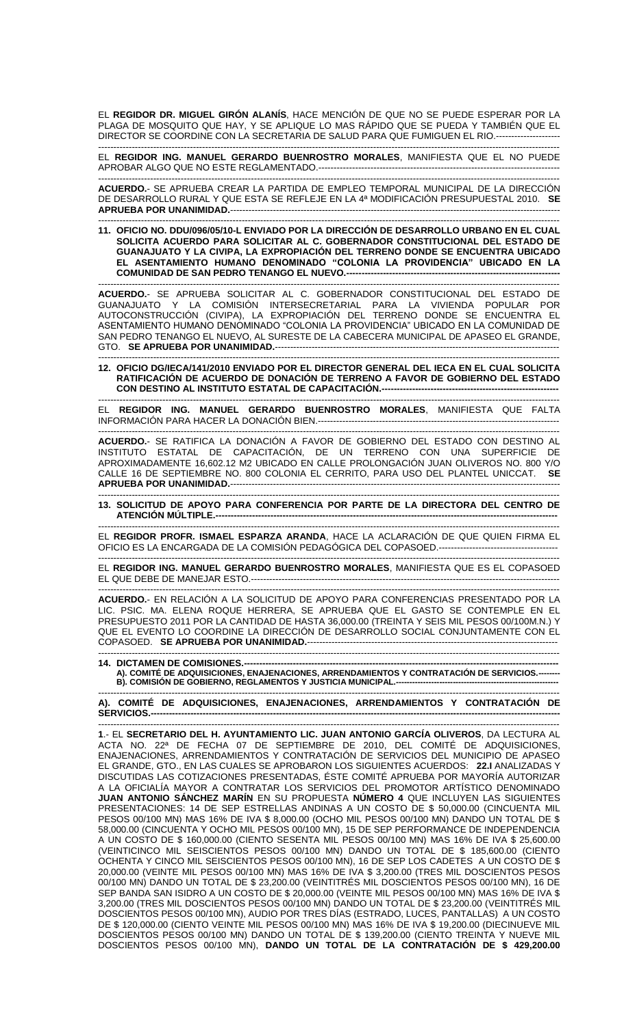EL **REGIDOR DR. MIGUEL GIRÓN ALANÍS**, HACE MENCIÓN DE QUE NO SE PUEDE ESPERAR POR LA PLAGA DE MOSQUITO QUE HAY, Y SE APLIQUE LO MAS RÁPIDO QUE SE PUEDA Y TAMBIÉN QUE EL DIRECTOR SE COORDINE CON LA SECRETARIA DE SALUD PARA QUE FUMIGUEN EL RIO.---------------------

------------------------------------------------------------------------------------------------------------------------------------------------------- EL **REGIDOR ING. MANUEL GERARDO BUENROSTRO MORALES**, MANIFIESTA QUE EL NO PUEDE APROBAR ALGO QUE NO ESTE REGLAMENTADO.-------------------------------------------------------------------------------

------------------------------------------------------------------------------------------------------------------------------------------------------- **ACUERDO.**- SE APRUEBA CREAR LA PARTIDA DE EMPLEO TEMPORAL MUNICIPAL DE LA DIRECCIÓN DE DESARROLLO RURAL Y QUE ESTA SE REFLEJE EN LA 4ª MODIFICACIÓN PRESUPUESTAL 2010. **SE APRUEBA POR UNANIMIDAD.------**

------------------------------------------------------------------------------------------------------------------------------------------------------- **11. OFICIO NO. DDU/096/05/10-L ENVIADO POR LA DIRECCIÓN DE DESARROLLO URBANO EN EL CUAL SOLICITA ACUERDO PARA SOLICITAR AL C. GOBERNADOR CONSTITUCIONAL DEL ESTADO DE GUANAJUATO Y LA CIVIPA, LA EXPROPIACIÓN DEL TERRENO DONDE SE ENCUENTRA UBICADO EL ASENTAMIENTO HUMANO DENOMINADO "COLONIA LA PROVIDENCIA" UBICADO EN LA COMUNIDAD DE SAN PEDRO TENANGO EL NUEVO.----------------------------------------------------------------------**

------------------------------------------------------------------------------------------------------------------------------------------------------- **ACUERDO.**- SE APRUEBA SOLICITAR AL C. GOBERNADOR CONSTITUCIONAL DEL ESTADO DE GUANAJUATO Y LA COMISIÓN INTERSECRETARIAL PARA LA VIVIENDA POPULAR POR AUTOCONSTRUCCIÓN (CIVIPA), LA EXPROPIACIÓN DEL TERRENO DONDE SE ENCUENTRA EL ASENTAMIENTO HUMANO DENOMINADO "COLONIA LA PROVIDENCIA" UBICADO EN LA COMUNIDAD DE SAN PEDRO TENANGO EL NUEVO, AL SURESTE DE LA CABECERA MUNICIPAL DE APASEO EL GRANDE, GTO. **SE APRUEBA POR UNANIMIDAD.**---

------------------------------------------------------------------------------------------------------------------------------------------------------- **12. OFICIO DG/IECA/141/2010 ENVIADO POR EL DIRECTOR GENERAL DEL IECA EN EL CUAL SOLICITA RATIFICACIÓN DE ACUERDO DE DONACIÓN DE TERRENO A FAVOR DE GOBIERNO DEL ESTADO CON DESTINO AL INSTITUTO ESTATAL DE CAPACITACIÓN.----------------------------------------------------------**

------------------------------------------------------------------------------------------------------------------------------------------------------- EL **REGIDOR ING. MANUEL GERARDO BUENROSTRO MORALES**, MANIFIESTA QUE FALTA INFORMACIÓN PARA HACER LA DONACIÓN BIEN.-------------------------------------------------------------------------------

------------------------------------------------------------------------------------------------------------------------------------------------------- **ACUERDO.**- SE RATIFICA LA DONACIÓN A FAVOR DE GOBIERNO DEL ESTADO CON DESTINO AL INSTITUTO ESTATAL DE CAPACITACIÓN, DE UN TERRENO CON UNA SUPERFICIE DE APROXIMADAMENTE 16,602.12 M2 UBICADO EN CALLE PROLONGACIÓN JUAN OLIVEROS NO. 800 Y/O CALLE 16 DE SEPTIEMBRE NO. 800 COLONIA EL CERRITO, PARA USO DEL PLANTEL UNICCAT. **SE APRUEBA POR UNANIMIDAD.**------------------------------------------------------------------------------------------------------------

------------------------------------------------------------------------------------------------------------------------------------------------------- **13. SOLICITUD DE APOYO PARA CONFERENCIA POR PARTE DE LA DIRECTORA DEL CENTRO DE ATENCIÓN MÚLTIPLE.---**

------------------------------------------------------------------------------------------------------------------------------------------------------- EL **REGIDOR PROFR. ISMAEL ESPARZA ARANDA**, HACE LA ACLARACIÓN DE QUE QUIEN FIRMA EL OFICIO ES LA ENCARGADA DE LA COMISIÓN PEDAGÓGICA DEL COPASOED.---------------------------------------

------------------------------------------------------------------------------------------------------------------------------------------------------- EL **REGIDOR ING. MANUEL GERARDO BUENROSTRO MORALES**, MANIFIESTA QUE ES EL COPASOED EL QUE DEBE DE MANEJAR ESTO.-----------------------------------------------------------------------------------------------------

------------------------------------------------------------------------------------------------------------------------------------------------------- **ACUERDO.**- EN RELACIÓN A LA SOLICITUD DE APOYO PARA CONFERENCIAS PRESENTADO POR LA LIC. PSIC. MA. ELENA ROQUE HERRERA, SE APRUEBA QUE EL GASTO SE CONTEMPLE EN EL PRESUPUESTO 2011 POR LA CANTIDAD DE HASTA 36,000.00 (TREINTA Y SEIS MIL PESOS 00/100M.N.) Y QUE EL EVENTO LO COORDINE LA DIRECCIÓN DE DESARROLLO SOCIAL CONJUNTAMENTE CON EL COPASOED. **SE APRUEBA POR UNANIMIDAD.**----------------------------------------------------------------------------------

------------------------------------------------------------------------------------------------------------------------------------------------------- **14. DICTAMEN DE COMISIONES.-**

**A). COMITÉ DE ADQUISICIONES, ENAJENACIONES, ARRENDAMIENTOS Y CONTRATACIÓN DE SERVICIOS.-------- B). COMISIÓN DE GOBIERNO, REGLAMENTOS Y JUSTICIA MUNICIPAL.------------------------------------------------------------** -------------------------------------------------------------------------------------------------------------------------------------------------------

**A). COMITÉ DE ADQUISICIONES, ENAJENACIONES, ARRENDAMIENTOS Y CONTRATACIÓN DE SERVICIOS.--------------------------------------------------------------------------------------------------------------------------------------**

------------------------------------------------------------------------------------------------------------------------------------------------------- **1**.- EL **SECRETARIO DEL H. AYUNTAMIENTO LIC. JUAN ANTONIO GARCÍA OLIVEROS**, DA LECTURA AL ACTA NO. 22ª DE FECHA 07 DE SEPTIEMBRE DE 2010, DEL COMITÉ DE ADQUISICIONES, ENAJENACIONES, ARRENDAMIENTOS Y CONTRATACIÓN DE SERVICIOS DEL MUNICIPIO DE APASEO EL GRANDE, GTO., EN LAS CUALES SE APROBARON LOS SIGUIENTES ACUERDOS: **22.I** ANALIZADAS Y DISCUTIDAS LAS COTIZACIONES PRESENTADAS, ÉSTE COMITÉ APRUEBA POR MAYORÍA AUTORIZAR A LA OFICIALÍA MAYOR A CONTRATAR LOS SERVICIOS DEL PROMOTOR ARTÍSTICO DENOMINADO **JUAN ANTONIO SÁNCHEZ MARÍN** EN SU PROPUESTA **NÚMERO 4** QUE INCLUYEN LAS SIGUIENTES PRESENTACIONES: 14 DE SEP ESTRELLAS ANDINAS A UN COSTO DE \$ 50,000.00 (CINCUENTA MIL PESOS 00/100 MN) MAS 16% DE IVA \$ 8,000.00 (OCHO MIL PESOS 00/100 MN) DANDO UN TOTAL DE \$ 58,000.00 (CINCUENTA Y OCHO MIL PESOS 00/100 MN), 15 DE SEP PERFORMANCE DE INDEPENDENCIA A UN COSTO DE \$ 160,000.00 (CIENTO SESENTA MIL PESOS 00/100 MN) MAS 16% DE IVA \$ 25,600.00 (VEINTICINCO MIL SEISCIENTOS PESOS 00/100 MN) DANDO UN TOTAL DE \$ 185,600.00 (CIENTO OCHENTA Y CINCO MIL SEISCIENTOS PESOS 00/100 MN), 16 DE SEP LOS CADETES A UN COSTO DE \$ 20,000.00 (VEINTE MIL PESOS 00/100 MN) MAS 16% DE IVA \$ 3,200.00 (TRES MIL DOSCIENTOS PESOS 00/100 MN) DANDO UN TOTAL DE \$ 23,200.00 (VEINTITRÉS MIL DOSCIENTOS PESOS 00/100 MN), 16 DE SEP BANDA SAN ISIDRO A UN COSTO DE \$ 20,000.00 (VEINTE MIL PESOS 00/100 MN) MAS 16% DE IVA \$ 3,200.00 (TRES MIL DOSCIENTOS PESOS 00/100 MN) DANDO UN TOTAL DE \$ 23,200.00 (VEINTITRÉS MIL DOSCIENTOS PESOS 00/100 MN), AUDIO POR TRES DÍAS (ESTRADO, LUCES, PANTALLAS) A UN COSTO DE \$120,000.00 (CIENTO VEINTE MIL PESOS 00/100 MN) MAS 16% DE IVA \$19,200.00 (DIECINUEVE MIL DOSCIENTOS PESOS 00/100 MN) DANDO UN TOTAL DE \$ 139,200.00 (CIENTO TREINTA Y NUEVE MIL DOSCIENTOS PESOS 00/100 MN), **DANDO UN TOTAL DE LA CONTRATACIÓN DE \$ 429,200.00**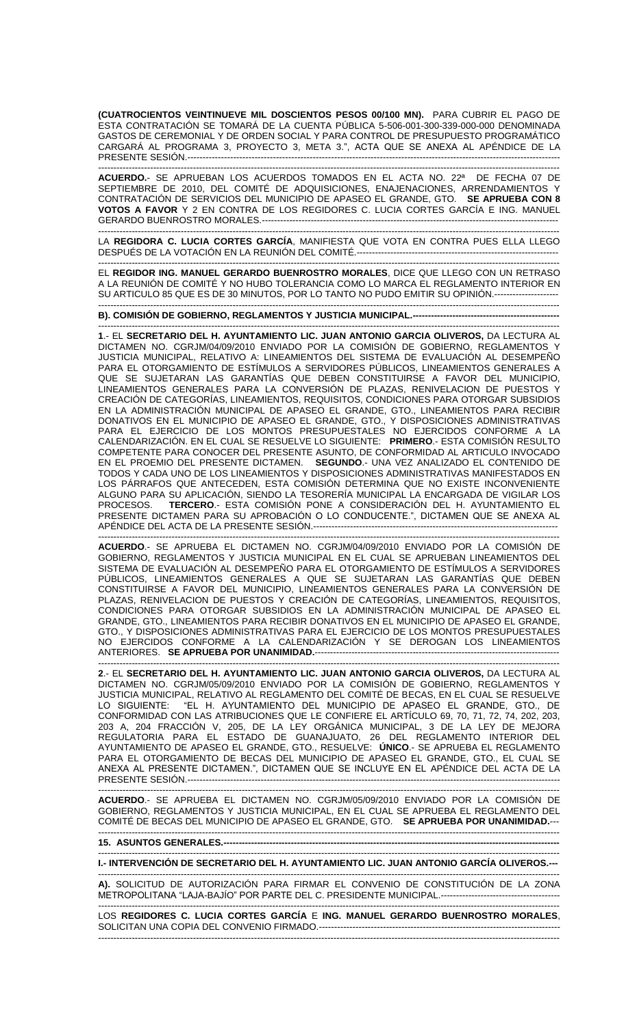**(CUATROCIENTOS VEINTINUEVE MIL DOSCIENTOS PESOS 00/100 MN).** PARA CUBRIR EL PAGO DE ESTA CONTRATACIÓN SE TOMARÁ DE LA CUENTA PÚBLICA 5-506-001-300-339-000-000 DENOMINADA GASTOS DE CEREMONIAL Y DE ORDEN SOCIAL Y PARA CONTROL DE PRESUPUESTO PROGRAMÁTICO CARGARÁ AL PROGRAMA 3, PROYECTO 3, META 3.", ACTA QUE SE ANEXA AL APÉNDICE DE LA PRESENTE SESIÓN.-------------------------------------------------------------------------------------------------------------------------- -------------------------------------------------------------------------------------------------------------------------------------------------------

**ACUERDO.**- SE APRUEBAN LOS ACUERDOS TOMADOS EN EL ACTA NO. 22ª DE FECHA 07 DE SEPTIEMBRE DE 2010, DEL COMITÉ DE ADQUISICIONES, ENAJENACIONES, ARRENDAMIENTOS Y CONTRATACIÓN DE SERVICIOS DEL MUNICIPIO DE APASEO EL GRANDE, GTO. **SE APRUEBA CON 8 VOTOS A FAVOR** Y 2 EN CONTRA DE LOS REGIDORES C. LUCIA CORTES GARCÍA E ING. MANUEL GERARDO BUENROSTRO MORALES.-------------------------------------------------------------------------------------------------

LA **REGIDORA C. LUCIA CORTES GARCÍA**, MANIFIESTA QUE VOTA EN CONTRA PUES ELLA LLEGO DESPUÉS DE LA VOTACIÓN EN LA REUNIÓN DEL COMITÉ.------------------------------------------------------------------

-------------------------------------------------------------------------------------------------------------------------------------------------------

------------------------------------------------------------------------------------------------------------------------------------------------------- EL **REGIDOR ING. MANUEL GERARDO BUENROSTRO MORALES**, DICE QUE LLEGO CON UN RETRASO A LA REUNIÓN DE COMITÉ Y NO HUBO TOLERANCIA COMO LO MARCA EL REGLAMENTO INTERIOR EN SU ARTICULO 85 QUE ES DE 30 MINUTOS, POR LO TANTO NO PUDO EMITIR SU OPINIÓN.--------------------- -------------------------------------------------------------------------------------------------------------------------------------------------------

**B). COMISIÓN DE GOBIERNO, REGLAMENTOS Y JUSTICIA MUNICIPAL.---------**

------------------------------------------------------------------------------------------------------------------------------------------------------- **1**.- EL **SECRETARIO DEL H. AYUNTAMIENTO LIC. JUAN ANTONIO GARCIA OLIVEROS,** DA LECTURA AL DICTAMEN NO. CGRJM/04/09/2010 ENVIADO POR LA COMISIÓN DE GOBIERNO, REGLAMENTOS Y JUSTICIA MUNICIPAL, RELATIVO A: LINEAMIENTOS DEL SISTEMA DE EVALUACION AL DESEMPENO PARA EL OTORGAMIENTO DE ESTÍMULOS A SERVIDORES PÚBLICOS, LINEAMIENTOS GENERALES A QUE SE SUJETARAN LAS GARANTÍAS QUE DEBEN CONSTITUIRSE A FAVOR DEL MUNICIPIO, LINEAMIENTOS GENERALES PARA LA CONVERSIÓN DE PLAZAS, RENIVELACION DE PUESTOS Y CREACIÓN DE CATEGORÍAS, LINEAMIENTOS, REQUISITOS, CONDICIONES PARA OTORGAR SUBSIDIOS EN LA ADMINISTRACIÓN MUNICIPAL DE APASEO EL GRANDE, GTO., LINEAMIENTOS PARA RECIBIR DONATIVOS EN EL MUNICIPIO DE APASEO EL GRANDE, GTO., Y DISPOSICIONES ADMINISTRATIVAS PARA EL EJERCICIO DE LOS MONTOS PRESUPUESTALES NO EJERCIDOS CONFORME A LA CALENDARIZACIÓN. EN EL CUAL SE RESUELVE LO SIGUIENTE: **PRIMERO**.- ESTA COMISIÓN RESULTO COMPETENTE PARA CONOCER DEL PRESENTE ASUNTO, DE CONFORMIDAD AL ARTICULO INVOCADO EN EL PROEMIO DEL PRESENTE DICTAMEN. **SEGUNDO**.- UNA VEZ ANALIZADO EL CONTENIDO DE TODOS Y CADA UNO DE LOS LINEAMIENTOS Y DISPOSICIONES ADMINISTRATIVAS MANIFESTADOS EN LOS PÁRRAFOS QUE ANTECEDEN, ESTA COMISIÓN DETERMINA QUE NO EXISTE INCONVENIENTE ALGUNO PARA SU APLICACIÓN, SIENDO LA TESORERÍA MUNICIPAL LA ENCARGADA DE VIGILAR LOS<br>PROCESOS. TERCERO.- ESTA COMISIÓN PONE A CONSIDERACIÓN DEL H. AYUNTAMIENTO EL TERCERO.- ESTA COMISIÓN PONE A CONSIDERACIÓN DEL H. AYUNTAMIENTO EL PRESENTE DICTAMEN PARA SU APROBACIÓN O LO CONDUCENTE.", DICTAMEN QUE SE ANEXA AL APÉNDICE DEL ACTA DE LA PRESENTE SESIÓN.--------------------------------------------------------------------------------

------------------------------------------------------------------------------------------------------------------------------------------------------- **ACUERDO**.- SE APRUEBA EL DICTAMEN NO. CGRJM/04/09/2010 ENVIADO POR LA COMISIÓN DE GOBIERNO, REGLAMENTOS Y JUSTICIA MUNICIPAL EN EL CUAL SE APRUEBAN LINEAMIENTOS DEL SISTEMA DE EVALUACIÓN AL DESEMPEÑO PARA EL OTORGAMIENTO DE ESTÍMULOS A SERVIDORES PÚBLICOS, LINEAMIENTOS GENERALES A QUE SE SUJETARAN LAS GARANTÍAS QUE DEBEN CONSTITUIRSE A FAVOR DEL MUNICIPIO, LINEAMIENTOS GENERALES PARA LA CONVERSIÓN DE PLAZAS, RENIVELACION DE PUESTOS Y CREACIÓN DE CATEGORÍAS, LINEAMIENTOS, REQUISITOS, CONDICIONES PARA OTORGAR SUBSIDIOS EN LA ADMINISTRACIÓN MUNICIPAL DE APASEO EL GRANDE, GTO., LINEAMIENTOS PARA RECIBIR DONATIVOS EN EL MUNICIPIO DE APASEO EL GRANDE, GTO., Y DISPOSICIONES ADMINISTRATIVAS PARA EL EJERCICIO DE LOS MONTOS PRESUPUESTALES NO EJERCIDOS CONFORME A LA CALENDARIZACIÓN Y SE DEROGAN LOS LINEAMIENTOS ANTERIORES. **SE APRUEBA POR UNANIMIDAD.**--------------------------------------------------------------------------------

------------------------------------------------------------------------------------------------------------------------------------------------------- **2**.- EL **SECRETARIO DEL H. AYUNTAMIENTO LIC. JUAN ANTONIO GARCIA OLIVEROS,** DA LECTURA AL DICTAMEN NO. CGRJM/05/09/2010 ENVIADO POR LA COMISIÓN DE GOBIERNO, REGLAMENTOS Y JUSTICIA MUNICIPAL, RELATIVO AL REGLAMENTO DEL COMITÉ DE BECAS, EN EL CUAL SE RESUELVE LO SIGUIENTE: "EL H. AYUNTAMIENTO DEL MUNICIPIO DE APASEO EL GRANDE, GTO., DE CONFORMIDAD CON LAS ATRIBUCIONES QUE LE CONFIERE EL ARTÍCULO 69, 70, 71, 72, 74, 202, 203, 203 A, 204 FRACCIÓN V, 205, DE LA LEY ORGÁNICA MUNICIPAL, 3 DE LA LEY DE MEJORA REGULATORIA PARA EL ESTADO DE GUANAJUATO, 26 DEL REGLAMENTO INTERIOR DEL AYUNTAMIENTO DE APASEO EL GRANDE, GTO., RESUELVE: **ÚNICO**.- SE APRUEBA EL REGLAMENTO PARA EL OTORGAMIENTO DE BECAS DEL MUNICIPIO DE APASEO EL GRANDE, GTO., EL CUAL SE ANEXA AL PRESENTE DICTAMEN.", DICTAMEN QUE SE INCLUYE EN EL APÉNDICE DEL ACTA DE LA PRESENTE SESIÓN.----

------------------------------------------------------------------------------------------------------------------------------------------------------- **ACUERDO**.- SE APRUEBA EL DICTAMEN NO. CGRJM/05/09/2010 ENVIADO POR LA COMISIÓN DE GOBIERNO, REGLAMENTOS Y JUSTICIA MUNICIPAL, EN EL CUAL SE APRUEBA EL REGLAMENTO DEL COMITÉ DE BECAS DEL MUNICIPIO DE APASEO EL GRANDE, GTO. **SE APRUEBA POR UNANIMIDAD.**--- -------------------------------------------------------------------------------------------------------------------------------------------------------

**15. ASUNTOS GENERALES.---**

------------------------------------------------------------------------------------------------------------------------------------------------------- **I.- INTERVENCIÓN DE SECRETARIO DEL H. AYUNTAMIENTO LIC. JUAN ANTONIO GARCÍA OLIVEROS.---** -------------------------------------------------------------------------------------------------------------------------------------------------------

**A).** SOLICITUD DE AUTORIZACIÓN PARA FIRMAR EL CONVENIO DE CONSTITUCIÓN DE LA ZONA METROPOLITANA "LAJA-BAJÍO" POR PARTE DEL C. PRESIDENTE MUNICIPAL.--------------------------------------- -------------------------------------------------------------------------------------------------------------------------------------------------------

LOS **REGIDORES C. LUCIA CORTES GARCÍA** E **ING. MANUEL GERARDO BUENROSTRO MORALES**, SOLICITAN UNA COPIA DEL CONVENIO FIRMADO.-----------------------------------------------------------------------------------------------------------------------------------------------------------------------------